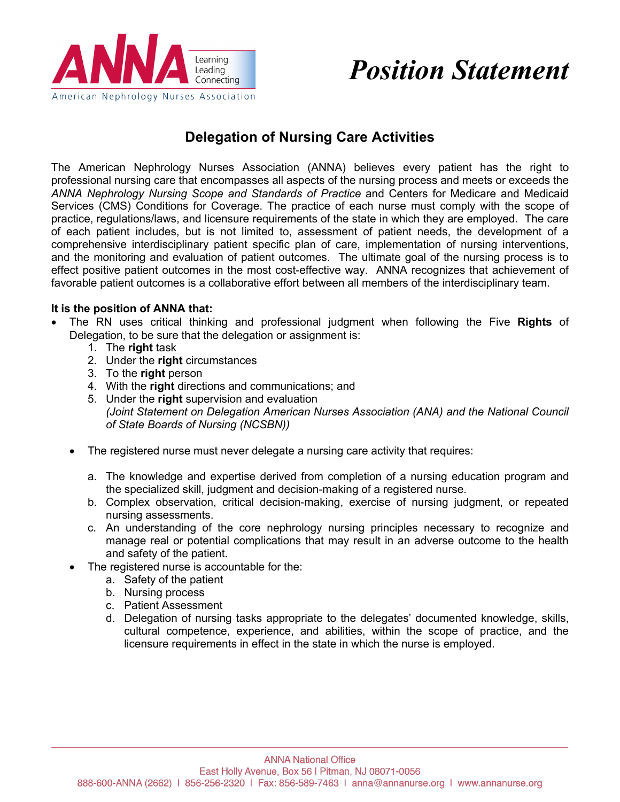

# *Position Statement*

## **Delegation of Nursing Care Activities**

The American Nephrology Nurses Association (ANNA) believes every patient has the right to professional nursing care that encompasses all aspects of the nursing process and meets or exceeds the *ANNA Nephrology Nursing Scope and Standards of Practice* and Centers for Medicare and Medicaid Services (CMS) Conditions for Coverage. The practice of each nurse must comply with the scope of practice, regulations/laws, and licensure requirements of the state in which they are employed. The care of each patient includes, but is not limited to, assessment of patient needs, the development of a comprehensive interdisciplinary patient specific plan of care, implementation of nursing interventions, and the monitoring and evaluation of patient outcomes. The ultimate goal of the nursing process is to effect positive patient outcomes in the most cost-effective way. ANNA recognizes that achievement of favorable patient outcomes is a collaborative effort between all members of the interdisciplinary team.

#### **It is the position of ANNA that:**

- The RN uses critical thinking and professional judgment when following the Five **Rights** of Delegation, to be sure that the delegation or assignment is:
	- 1. The **right** task
	- 2. Under the **right** circumstances
	- 3. To the **right** person
	- 4. With the **right** directions and communications; and
	- 5. Under the **right** supervision and evaluation *(Joint Statement on Delegation American Nurses Association (ANA) and the National Council of State Boards of Nursing (NCSBN))*
	- The registered nurse must never delegate a nursing care activity that requires:
		- a. The knowledge and expertise derived from completion of a nursing education program and the specialized skill, judgment and decision-making of a registered nurse.
		- b. Complex observation, critical decision-making, exercise of nursing judgment, or repeated nursing assessments.
		- c. An understanding of the core nephrology nursing principles necessary to recognize and manage real or potential complications that may result in an adverse outcome to the health and safety of the patient.
	- The registered nurse is accountable for the:
		- a. Safety of the patient
		- b. Nursing process
		- c. Patient Assessment
		- d. Delegation of nursing tasks appropriate to the delegates' documented knowledge, skills, cultural competence, experience, and abilities, within the scope of practice, and the licensure requirements in effect in the state in which the nurse is employed.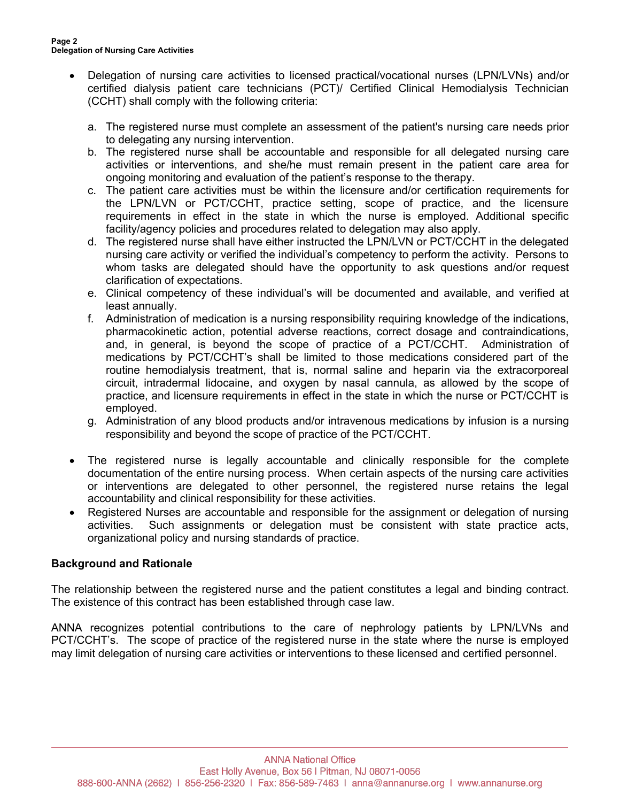- Delegation of nursing care activities to licensed practical/vocational nurses (LPN/LVNs) and/or certified dialysis patient care technicians (PCT)/ Certified Clinical Hemodialysis Technician (CCHT) shall comply with the following criteria:
	- a. The registered nurse must complete an assessment of the patient's nursing care needs prior to delegating any nursing intervention.
	- b. The registered nurse shall be accountable and responsible for all delegated nursing care activities or interventions, and she/he must remain present in the patient care area for ongoing monitoring and evaluation of the patient's response to the therapy.
	- c. The patient care activities must be within the licensure and/or certification requirements for the LPN/LVN or PCT/CCHT, practice setting, scope of practice, and the licensure requirements in effect in the state in which the nurse is employed. Additional specific facility/agency policies and procedures related to delegation may also apply.
	- d. The registered nurse shall have either instructed the LPN/LVN or PCT/CCHT in the delegated nursing care activity or verified the individual's competency to perform the activity. Persons to whom tasks are delegated should have the opportunity to ask questions and/or request clarification of expectations.
	- e. Clinical competency of these individual's will be documented and available, and verified at least annually.
	- f. Administration of medication is a nursing responsibility requiring knowledge of the indications, pharmacokinetic action, potential adverse reactions, correct dosage and contraindications, and, in general, is beyond the scope of practice of a PCT/CCHT. Administration of medications by PCT/CCHT's shall be limited to those medications considered part of the routine hemodialysis treatment, that is, normal saline and heparin via the extracorporeal circuit, intradermal lidocaine, and oxygen by nasal cannula, as allowed by the scope of practice, and licensure requirements in effect in the state in which the nurse or PCT/CCHT is employed.
	- g. Administration of any blood products and/or intravenous medications by infusion is a nursing responsibility and beyond the scope of practice of the PCT/CCHT.
- The registered nurse is legally accountable and clinically responsible for the complete documentation of the entire nursing process. When certain aspects of the nursing care activities or interventions are delegated to other personnel, the registered nurse retains the legal accountability and clinical responsibility for these activities.
- Registered Nurses are accountable and responsible for the assignment or delegation of nursing activities. Such assignments or delegation must be consistent with state practice acts, organizational policy and nursing standards of practice.

### **Background and Rationale**

The relationship between the registered nurse and the patient constitutes a legal and binding contract. The existence of this contract has been established through case law.

ANNA recognizes potential contributions to the care of nephrology patients by LPN/LVNs and PCT/CCHT's. The scope of practice of the registered nurse in the state where the nurse is employed may limit delegation of nursing care activities or interventions to these licensed and certified personnel.